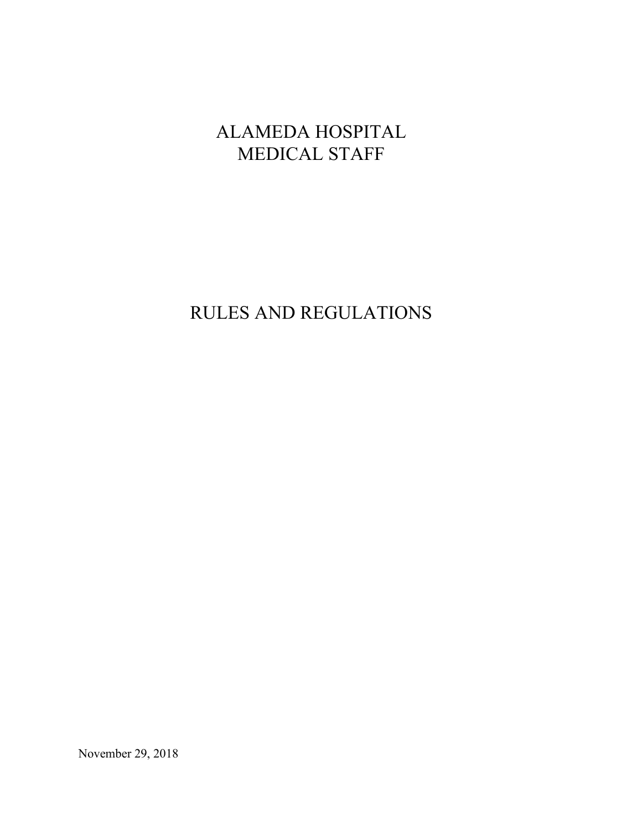# ALAMEDA HOSPITAL MEDICAL STAFF

# RULES AND REGULATIONS

November 29, 2018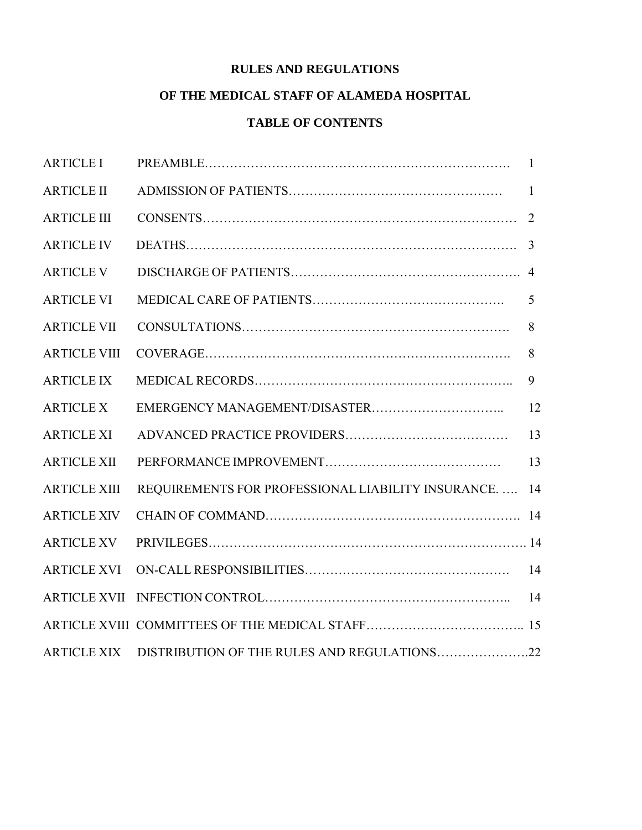# **RULES AND REGULATIONS**

# **OF THE MEDICAL STAFF OF ALAMEDA HOSPITAL**

# **TABLE OF CONTENTS**

| <b>ARTICLE I</b>    |                                                    | $\mathbf{1}$ |
|---------------------|----------------------------------------------------|--------------|
| <b>ARTICLE II</b>   |                                                    | 1            |
| <b>ARTICLE III</b>  |                                                    | 2            |
| <b>ARTICLE IV</b>   |                                                    | 3            |
| <b>ARTICLE V</b>    |                                                    |              |
| <b>ARTICLE VI</b>   |                                                    | 5            |
| <b>ARTICLE VII</b>  |                                                    | 8            |
| <b>ARTICLE VIII</b> |                                                    | 8            |
| <b>ARTICLE IX</b>   |                                                    | 9            |
| <b>ARTICLE X</b>    |                                                    | 12           |
| <b>ARTICLE XI</b>   |                                                    | 13           |
| <b>ARTICLE XII</b>  |                                                    | 13           |
| <b>ARTICLE XIII</b> | REQUIREMENTS FOR PROFESSIONAL LIABILITY INSURANCE. | 14           |
| <b>ARTICLE XIV</b>  |                                                    |              |
| <b>ARTICLE XV</b>   |                                                    |              |
| <b>ARTICLE XVI</b>  |                                                    | 14           |
| <b>ARTICLE XVII</b> |                                                    | 14           |
|                     |                                                    |              |
| <b>ARTICLE XIX</b>  | DISTRIBUTION OF THE RULES AND REGULATIONS22        |              |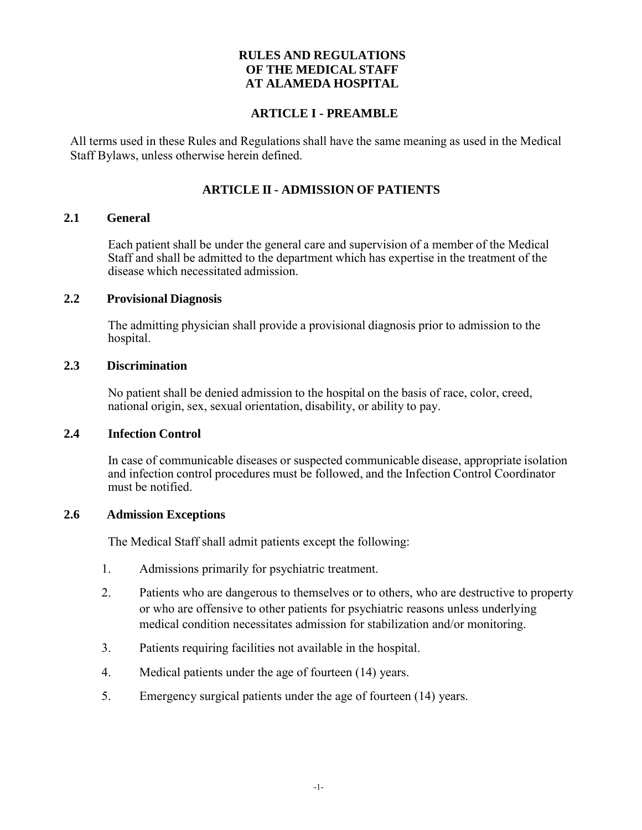## **RULES AND REGULATIONS OF THE MEDICAL STAFF AT ALAMEDA HOSPITAL**

#### **ARTICLE I - PREAMBLE**

All terms used in these Rules and Regulations shall have the same meaning as used in the Medical Staff Bylaws, unless otherwise herein defined.

#### **ARTICLE II - ADMISSION OF PATIENTS**

#### **2.1 General**

Each patient shall be under the general care and supervision of a member of the Medical Staff and shall be admitted to the department which has expertise in the treatment of the disease which necessitated admission.

#### **2.2 Provisional Diagnosis**

The admitting physician shall provide a provisional diagnosis prior to admission to the hospital.

#### **2.3 Discrimination**

No patient shall be denied admission to the hospital on the basis of race, color, creed, national origin, sex, sexual orientation, disability, or ability to pay.

#### **2.4 Infection Control**

In case of communicable diseases or suspected communicable disease, appropriate isolation and infection control procedures must be followed, and the Infection Control Coordinator must be notified.

#### **2.6 Admission Exceptions**

The Medical Staff shall admit patients except the following:

- 1. Admissions primarily for psychiatric treatment.
- 2. Patients who are dangerous to themselves or to others, who are destructive to property or who are offensive to other patients for psychiatric reasons unless underlying medical condition necessitates admission for stabilization and/or monitoring.
- 3. Patients requiring facilities not available in the hospital.
- 4. Medical patients under the age of fourteen (14) years.
- 5. Emergency surgical patients under the age of fourteen (14) years.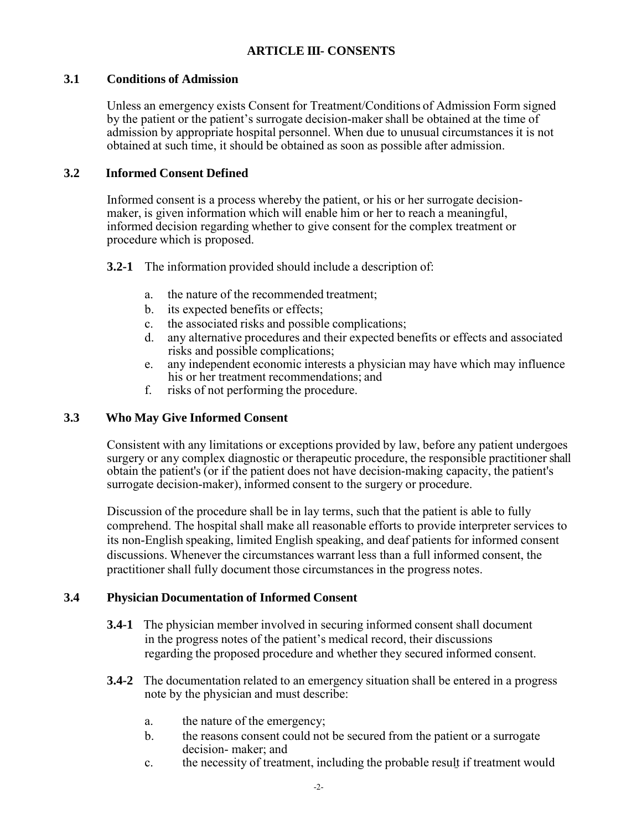## **ARTICLE III- CONSENTS**

## **3.1 Conditions of Admission**

Unless an emergency exists Consent for Treatment/Conditions of Admission Form signed by the patient or the patient's surrogate decision-maker shall be obtained at the time of admission by appropriate hospital personnel. When due to unusual circumstances it is not obtained at such time, it should be obtained as soon as possible after admission.

## **3.2 Informed Consent Defined**

Informed consent is a process whereby the patient, or his or her surrogate decisionmaker, is given information which will enable him or her to reach a meaningful, informed decision regarding whether to give consent for the complex treatment or procedure which is proposed.

**3.2-1** The information provided should include a description of:

- a. the nature of the recommended treatment;
- b. its expected benefits or effects;
- c. the associated risks and possible complications;<br>d any alternative procedures and their expected be
- any alternative procedures and their expected benefits or effects and associated risks and possible complications;
- e. any independent economic interests a physician may have which may influence his or her treatment recommendations; and
- f. risks of not performing the procedure.

## **3.3 Who May Give Informed Consent**

Consistent with any limitations or exceptions provided by law, before any patient undergoes surgery or any complex diagnostic or therapeutic procedure, the responsible practitioner shall obtain the patient's (or if the patient does not have decision-making capacity, the patient's surrogate decision-maker), informed consent to the surgery or procedure.

Discussion of the procedure shall be in lay terms, such that the patient is able to fully comprehend. The hospital shall make all reasonable efforts to provide interpreter services to its non-English speaking, limited English speaking, and deaf patients for informed consent discussions. Whenever the circumstances warrant less than a full informed consent, the practitioner shall fully document those circumstances in the progress notes.

#### **3.4 Physician Documentation of Informed Consent**

- **3.4-1** The physician member involved in securing informed consent shall document in the progress notes of the patient's medical record, their discussions regarding the proposed procedure and whether they secured informed consent.
- **3.4-2** The documentation related to an emergency situation shall be entered in a progress note by the physician and must describe:
	- a. the nature of the emergency;
	- b. the reasons consent could not be secured from the patient or a surrogate decision- maker; and
	- c. the necessity of treatment, including the probable result if treatment would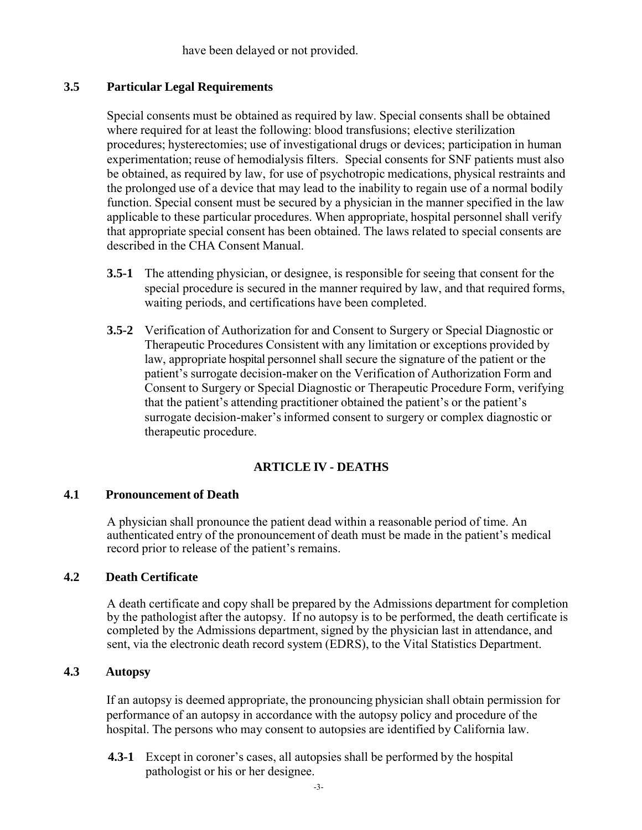have been delayed or not provided.

## **3.5 Particular Legal Requirements**

Special consents must be obtained as required by law. Special consents shall be obtained where required for at least the following: blood transfusions; elective sterilization procedures; hysterectomies; use of investigational drugs or devices; participation in human experimentation; reuse of hemodialysis filters. Special consents for SNF patients must also be obtained, as required by law, for use of psychotropic medications, physical restraints and the prolonged use of a device that may lead to the inability to regain use of a normal bodily function. Special consent must be secured by a physician in the manner specified in the law applicable to these particular procedures. When appropriate, hospital personnel shall verify that appropriate special consent has been obtained. The laws related to special consents are described in the CHA Consent Manual.

- **3.5-1** The attending physician, or designee, is responsible for seeing that consent for the special procedure is secured in the manner required by law, and that required forms, waiting periods, and certifications have been completed.
- **3.5-2** Verification of Authorization for and Consent to Surgery or Special Diagnostic or Therapeutic Procedures Consistent with any limitation or exceptions provided by law, appropriate hospital personnel shall secure the signature of the patient or the patient's surrogate decision-maker on the Verification of Authorization Form and Consent to Surgery or Special Diagnostic or Therapeutic Procedure Form, verifying that the patient's attending practitioner obtained the patient's or the patient's surrogate decision-maker's informed consent to surgery or complex diagnostic or therapeutic procedure.

## **ARTICLE IV - DEATHS**

#### **4.1 Pronouncement of Death**

A physician shall pronounce the patient dead within a reasonable period of time. An authenticated entry of the pronouncement of death must be made in the patient's medical record prior to release of the patient's remains.

#### **4.2 Death Certificate**

A death certificate and copy shall be prepared by the Admissions department for completion by the pathologist after the autopsy. If no autopsy is to be performed, the death certificate is completed by the Admissions department, signed by the physician last in attendance, and sent, via the electronic death record system (EDRS), to the Vital Statistics Department.

## **4.3 Autopsy**

If an autopsy is deemed appropriate, the pronouncing physician shall obtain permission for performance of an autopsy in accordance with the autopsy policy and procedure of the hospital. The persons who may consent to autopsies are identified by California law.

**4.3-1** Except in coroner's cases, all autopsies shall be performed by the hospital pathologist or his or her designee.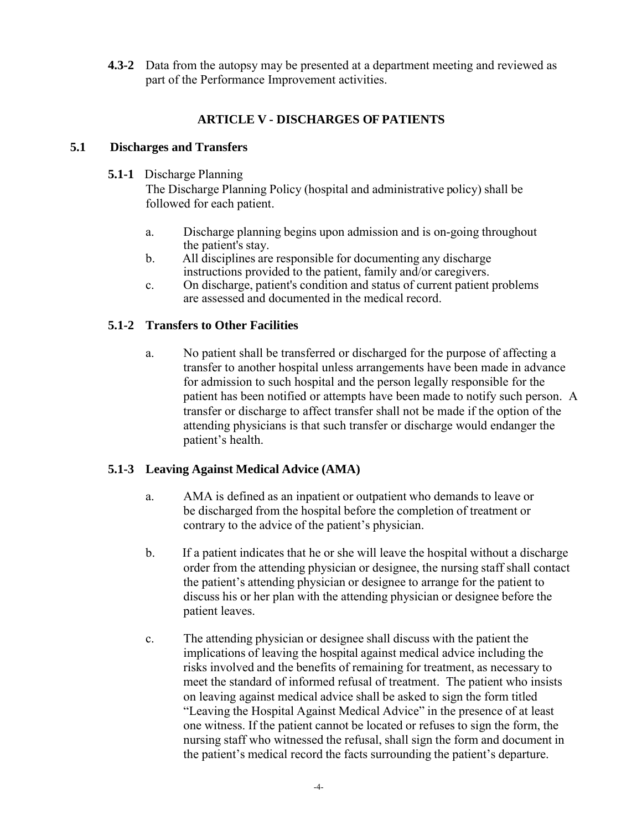**4.3-2** Data from the autopsy may be presented at a department meeting and reviewed as part of the Performance Improvement activities.

# **ARTICLE V - DISCHARGES OF PATIENTS**

## **5.1 Discharges and Transfers**

## **5.1-1** Discharge Planning

The Discharge Planning Policy (hospital and administrative policy) shall be followed for each patient.

- a. Discharge planning begins upon admission and is on-going throughout the patient's stay.
- b. All disciplines are responsible for documenting any discharge instructions provided to the patient, family and/or caregivers.
- c. On discharge, patient's condition and status of current patient problems are assessed and documented in the medical record.

# **5.1-2 Transfers to Other Facilities**

a. No patient shall be transferred or discharged for the purpose of affecting a transfer to another hospital unless arrangements have been made in advance for admission to such hospital and the person legally responsible for the patient has been notified or attempts have been made to notify such person. A transfer or discharge to affect transfer shall not be made if the option of the attending physicians is that such transfer or discharge would endanger the patient's health.

# **5.1-3 Leaving Against Medical Advice (AMA)**

- a. AMA is defined as an inpatient or outpatient who demands to leave or be discharged from the hospital before the completion of treatment or contrary to the advice of the patient's physician.
- b. If a patient indicates that he or she will leave the hospital without a discharge order from the attending physician or designee, the nursing staff shall contact the patient's attending physician or designee to arrange for the patient to discuss his or her plan with the attending physician or designee before the patient leaves.
- c. The attending physician or designee shall discuss with the patient the implications of leaving the hospital against medical advice including the risks involved and the benefits of remaining for treatment, as necessary to meet the standard of informed refusal of treatment. The patient who insists on leaving against medical advice shall be asked to sign the form titled "Leaving the Hospital Against Medical Advice" in the presence of at least one witness. If the patient cannot be located or refuses to sign the form, the nursing staff who witnessed the refusal, shall sign the form and document in the patient's medical record the facts surrounding the patient's departure.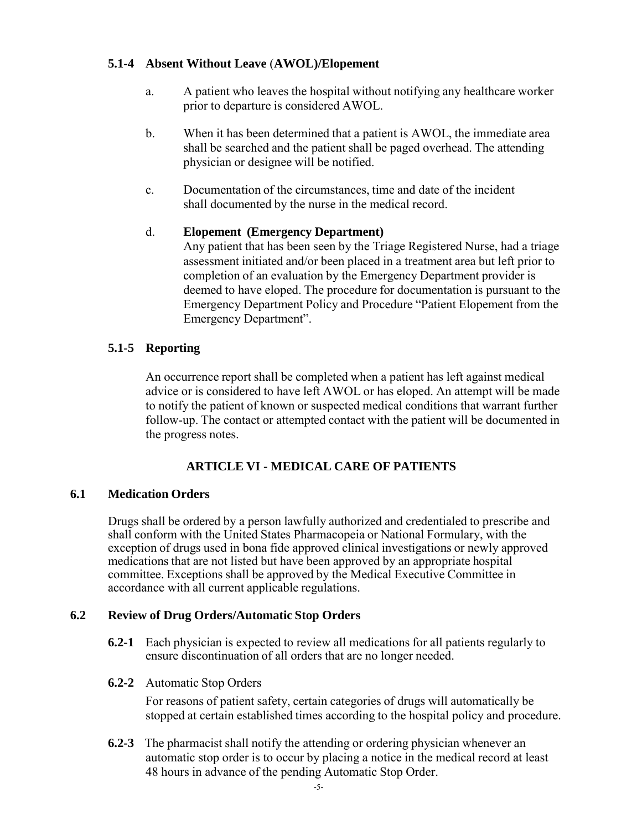## **5.1-4 Absent Without Leave** (**AWOL)/Elopement**

- a. A patient who leaves the hospital without notifying any healthcare worker prior to departure is considered AWOL.
- b. When it has been determined that a patient is AWOL, the immediate area shall be searched and the patient shall be paged overhead. The attending physician or designee will be notified.
- c. Documentation of the circumstances, time and date of the incident shall documented by the nurse in the medical record.

## d. **Elopement (Emergency Department)**

Any patient that has been seen by the Triage Registered Nurse, had a triage assessment initiated and/or been placed in a treatment area but left prior to completion of an evaluation by the Emergency Department provider is deemed to have eloped. The procedure for documentation is pursuant to the Emergency Department Policy and Procedure "Patient Elopement from the Emergency Department".

## **5.1-5 Reporting**

An occurrence report shall be completed when a patient has left against medical advice or is considered to have left AWOL or has eloped. An attempt will be made to notify the patient of known or suspected medical conditions that warrant further follow-up. The contact or attempted contact with the patient will be documented in the progress notes.

# **ARTICLE VI - MEDICAL CARE OF PATIENTS**

## **6.1 Medication Orders**

Drugs shall be ordered by a person lawfully authorized and credentialed to prescribe and shall conform with the United States Pharmacopeia or National Formulary, with the exception of drugs used in bona fide approved clinical investigations or newly approved medications that are not listed but have been approved by an appropriate hospital committee. Exceptions shall be approved by the Medical Executive Committee in accordance with all current applicable regulations.

## **6.2 Review of Drug Orders/Automatic Stop Orders**

- **6.2-1** Each physician is expected to review all medications for all patients regularly to ensure discontinuation of all orders that are no longer needed.
- **6.2-2** Automatic Stop Orders

For reasons of patient safety, certain categories of drugs will automatically be stopped at certain established times according to the hospital policy and procedure.

**6.2-3** The pharmacist shall notify the attending or ordering physician whenever an automatic stop order is to occur by placing a notice in the medical record at least 48 hours in advance of the pending Automatic Stop Order.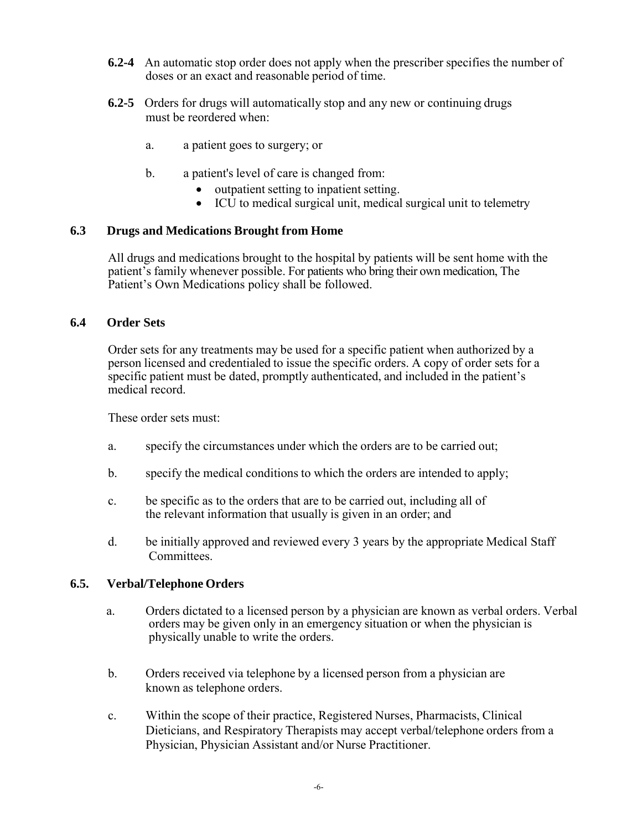- **6.2-4** An automatic stop order does not apply when the prescriber specifies the number of doses or an exact and reasonable period of time.
- **6.2-5** Orders for drugs will automatically stop and any new or continuing drugs must be reordered when:
	- a. a patient goes to surgery; or
	- b. a patient's level of care is changed from:
		- outpatient setting to inpatient setting.
		- ICU to medical surgical unit, medical surgical unit to telemetry

#### **6.3 Drugs and Medications Brought from Home**

All drugs and medications brought to the hospital by patients will be sent home with the patient's family whenever possible. For patients who bring their own medication, The Patient's Own Medications policy shall be followed.

#### **6.4 Order Sets**

Order sets for any treatments may be used for a specific patient when authorized by a person licensed and credentialed to issue the specific orders. A copy of order sets for a specific patient must be dated, promptly authenticated, and included in the patient's medical record.

These order sets must:

- a. specify the circumstances under which the orders are to be carried out;
- b. specify the medical conditions to which the orders are intended to apply;
- c. be specific as to the orders that are to be carried out, including all of the relevant information that usually is given in an order; and
- d. be initially approved and reviewed every 3 years by the appropriate Medical Staff Committees.

#### **6.5. Verbal/Telephone Orders**

- a. Orders dictated to a licensed person by a physician are known as verbal orders. Verbal orders may be given only in an emergency situation or when the physician is physically unable to write the orders.
- b. Orders received via telephone by a licensed person from a physician are known as telephone orders.
- c. Within the scope of their practice, Registered Nurses, Pharmacists, Clinical Dieticians, and Respiratory Therapists may accept verbal/telephone orders from a Physician, Physician Assistant and/or Nurse Practitioner.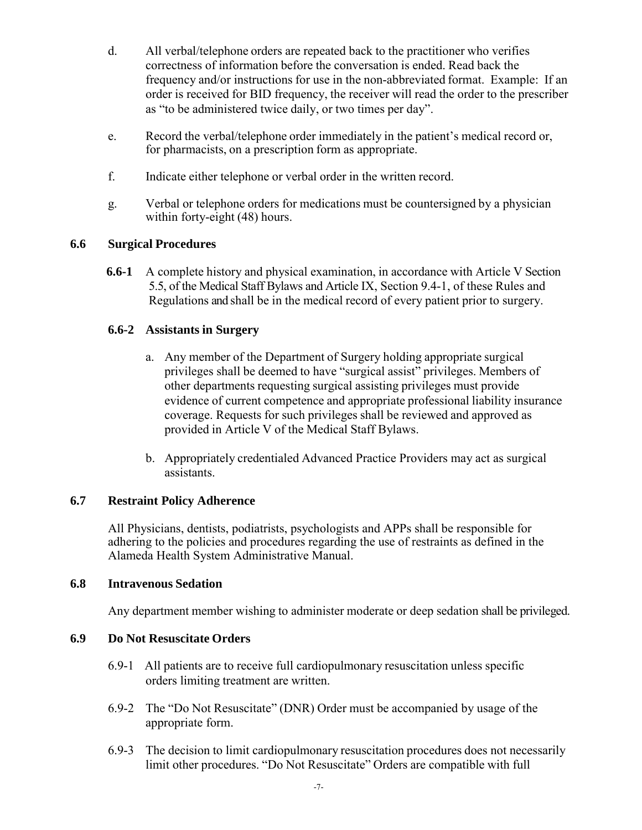- d. All verbal/telephone orders are repeated back to the practitioner who verifies correctness of information before the conversation is ended. Read back the frequency and/or instructions for use in the non-abbreviated format. Example: If an order is received for BID frequency, the receiver will read the order to the prescriber as "to be administered twice daily, or two times per day".
- e. Record the verbal/telephone order immediately in the patient's medical record or, for pharmacists, on a prescription form as appropriate.
- f. Indicate either telephone or verbal order in the written record.
- g. Verbal or telephone orders for medications must be countersigned by a physician within forty-eight (48) hours.

## **6.6 Surgical Procedures**

**6.6-1** A complete history and physical examination, in accordance with Article V Section 5.5, of the Medical Staff Bylaws and Article IX, Section 9.4-1, of these Rules and Regulations and shall be in the medical record of every patient prior to surgery.

## **6.6-2 Assistants in Surgery**

- a. Any member of the Department of Surgery holding appropriate surgical privileges shall be deemed to have "surgical assist" privileges. Members of other departments requesting surgical assisting privileges must provide evidence of current competence and appropriate professional liability insurance coverage. Requests for such privileges shall be reviewed and approved as provided in Article V of the Medical Staff Bylaws.
- b. Appropriately credentialed Advanced Practice Providers may act as surgical assistants.

## **6.7 Restraint Policy Adherence**

All Physicians, dentists, podiatrists, psychologists and APPs shall be responsible for adhering to the policies and procedures regarding the use of restraints as defined in the Alameda Health System Administrative Manual.

#### **6.8 Intravenous Sedation**

Any department member wishing to administer moderate or deep sedation shall be privileged.

## **6.9 Do Not Resuscitate Orders**

- 6.9-1 All patients are to receive full cardiopulmonary resuscitation unless specific orders limiting treatment are written.
- 6.9-2 The "Do Not Resuscitate" (DNR) Order must be accompanied by usage of the appropriate form.
- 6.9-3 The decision to limit cardiopulmonary resuscitation procedures does not necessarily limit other procedures. "Do Not Resuscitate" Orders are compatible with full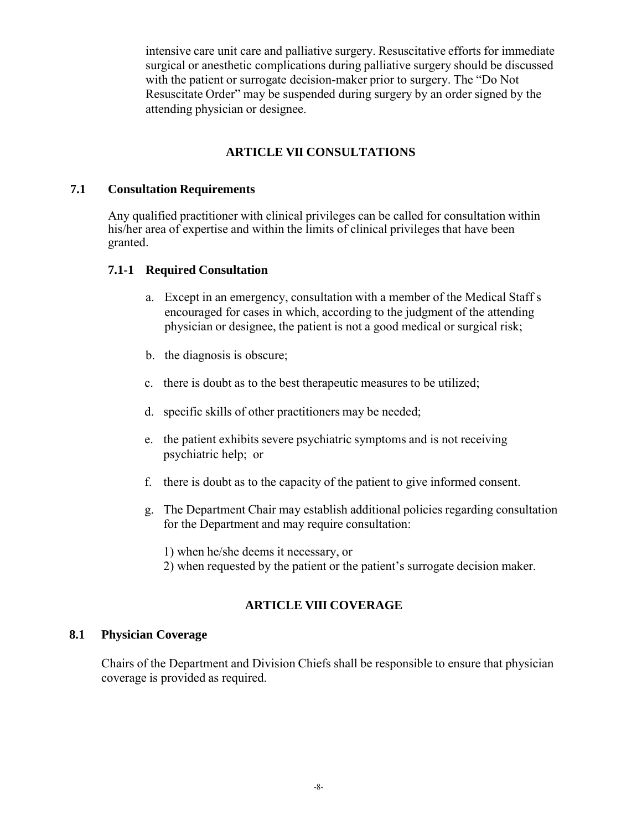intensive care unit care and palliative surgery. Resuscitative efforts for immediate surgical or anesthetic complications during palliative surgery should be discussed with the patient or surrogate decision-maker prior to surgery. The "Do Not Resuscitate Order" may be suspended during surgery by an order signed by the attending physician or designee.

## **ARTICLE VII CONSULTATIONS**

## **7.1 Consultation Requirements**

Any qualified practitioner with clinical privileges can be called for consultation within his/her area of expertise and within the limits of clinical privileges that have been granted.

## **7.1-1 Required Consultation**

- a. Except in an emergency, consultation with a member of the Medical Staff s encouraged for cases in which, according to the judgment of the attending physician or designee, the patient is not a good medical or surgical risk;
- b. the diagnosis is obscure;
- c. there is doubt as to the best therapeutic measures to be utilized;
- d. specific skills of other practitioners may be needed;
- e. the patient exhibits severe psychiatric symptoms and is not receiving psychiatric help; or
- f. there is doubt as to the capacity of the patient to give informed consent.
- g. The Department Chair may establish additional policies regarding consultation for the Department and may require consultation:

1) when he/she deems it necessary, or

2) when requested by the patient or the patient's surrogate decision maker.

# **ARTICLE VIII COVERAGE**

#### **8.1 Physician Coverage**

Chairs of the Department and Division Chiefs shall be responsible to ensure that physician coverage is provided as required.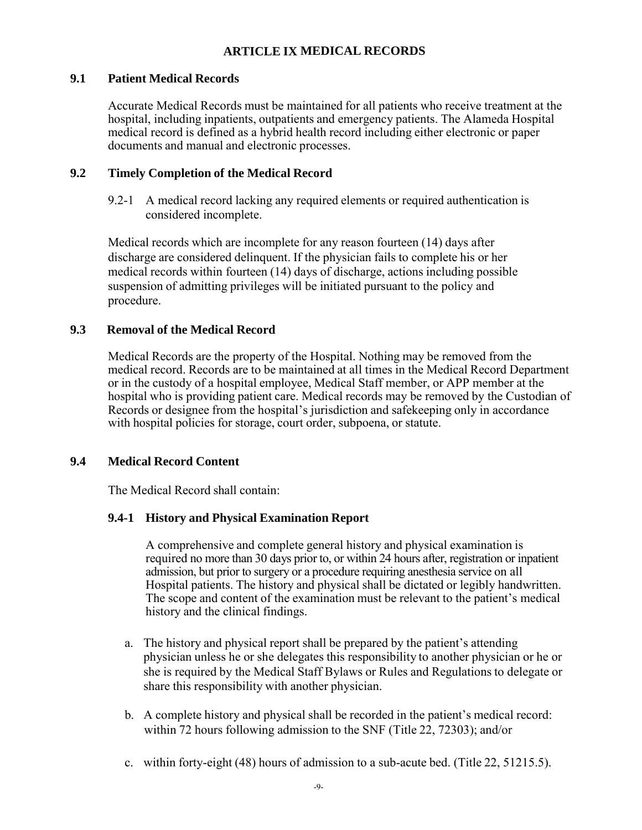## **ARTICLE IX MEDICAL RECORDS**

#### **9.1 Patient Medical Records**

Accurate Medical Records must be maintained for all patients who receive treatment at the hospital, including inpatients, outpatients and emergency patients. The Alameda Hospital medical record is defined as a hybrid health record including either electronic or paper documents and manual and electronic processes.

## **9.2 Timely Completion of the Medical Record**

9.2-1 A medical record lacking any required elements or required authentication is considered incomplete.

Medical records which are incomplete for any reason fourteen (14) days after discharge are considered delinquent. If the physician fails to complete his or her medical records within fourteen (14) days of discharge, actions including possible suspension of admitting privileges will be initiated pursuant to the policy and procedure.

#### **9.3 Removal of the Medical Record**

Medical Records are the property of the Hospital. Nothing may be removed from the medical record. Records are to be maintained at all times in the Medical Record Department or in the custody of a hospital employee, Medical Staff member, or APP member at the hospital who is providing patient care. Medical records may be removed by the Custodian of Records or designee from the hospital's jurisdiction and safekeeping only in accordance with hospital policies for storage, court order, subpoena, or statute.

## **9.4 Medical Record Content**

The Medical Record shall contain:

#### **9.4-1 History and Physical Examination Report**

A comprehensive and complete general history and physical examination is required no more than 30 days prior to, or within 24 hours after, registration or inpatient admission, but prior to surgery or a procedure requiring anesthesia service on all Hospital patients. The history and physical shall be dictated or legibly handwritten. The scope and content of the examination must be relevant to the patient's medical history and the clinical findings.

- a. The history and physical report shall be prepared by the patient's attending physician unless he or she delegates this responsibility to another physician or he or she is required by the Medical Staff Bylaws or Rules and Regulations to delegate or share this responsibility with another physician.
- b. A complete history and physical shall be recorded in the patient's medical record: within 72 hours following admission to the SNF (Title 22, 72303); and/or
- c. within forty-eight (48) hours of admission to a sub-acute bed. (Title 22, 51215.5).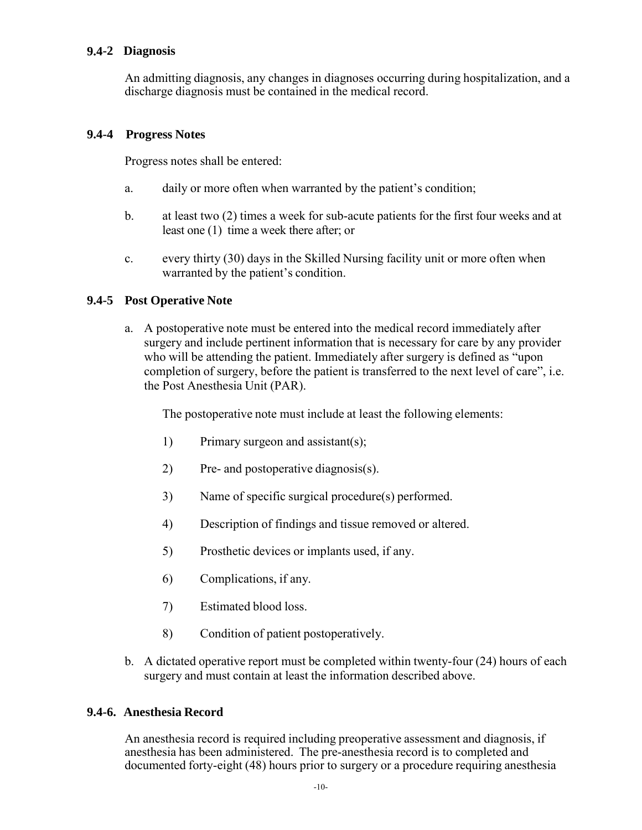## **9.4-2 Diagnosis**

An admitting diagnosis, any changes in diagnoses occurring during hospitalization, and a discharge diagnosis must be contained in the medical record.

## **9.4-4 Progress Notes**

Progress notes shall be entered:

- a. daily or more often when warranted by the patient's condition;
- b. at least two (2) times a week for sub-acute patients for the first four weeks and at least one (1) time a week there after; or
- c. every thirty (30) days in the Skilled Nursing facility unit or more often when warranted by the patient's condition.

## **9.4-5 Post Operative Note**

a. A postoperative note must be entered into the medical record immediately after surgery and include pertinent information that is necessary for care by any provider who will be attending the patient. Immediately after surgery is defined as "upon completion of surgery, before the patient is transferred to the next level of care", i.e. the Post Anesthesia Unit (PAR).

The postoperative note must include at least the following elements:

- 1) Primary surgeon and assistant(s);
- 2) Pre- and postoperative diagnosis(s).
- 3) Name of specific surgical procedure(s) performed.
- 4) Description of findings and tissue removed or altered.
- 5) Prosthetic devices or implants used, if any.
- 6) Complications, if any.
- 7) Estimated blood loss.
- 8) Condition of patient postoperatively.
- b. A dictated operative report must be completed within twenty-four (24) hours of each surgery and must contain at least the information described above.

## **9.4-6. Anesthesia Record**

An anesthesia record is required including preoperative assessment and diagnosis, if anesthesia has been administered. The pre-anesthesia record is to completed and documented forty-eight (48) hours prior to surgery or a procedure requiring anesthesia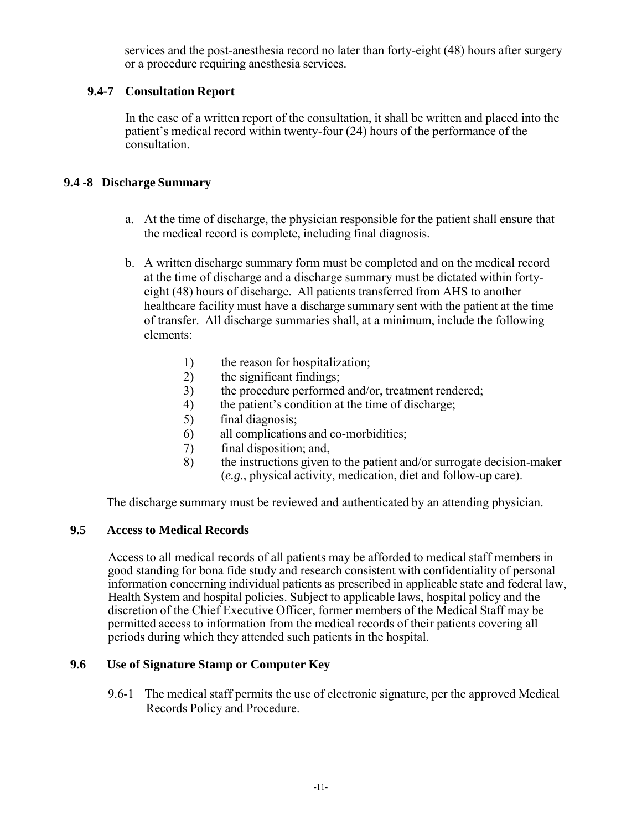services and the post-anesthesia record no later than forty-eight (48) hours after surgery or a procedure requiring anesthesia services.

## **9.4-7 Consultation Report**

In the case of a written report of the consultation, it shall be written and placed into the patient's medical record within twenty-four (24) hours of the performance of the consultation.

## **9.4 -8 Discharge Summary**

- a. At the time of discharge, the physician responsible for the patient shall ensure that the medical record is complete, including final diagnosis.
- b. A written discharge summary form must be completed and on the medical record at the time of discharge and a discharge summary must be dictated within fortyeight (48) hours of discharge. All patients transferred from AHS to another healthcare facility must have a discharge summary sent with the patient at the time of transfer. All discharge summaries shall, at a minimum, include the following elements:
	- 1) the reason for hospitalization;
	- 2) the significant findings;
	- 3) the procedure performed and/or, treatment rendered;<br>4) the patient's condition at the time of discharge;
	- the patient's condition at the time of discharge;
	- 5) final diagnosis;
	- 6) all complications and co-morbidities;
	- 7) final disposition; and,<br>8) the instructions given
	- 8) the instructions given to the patient and/or surrogate decision-maker (*e.g.*, physical activity, medication, diet and follow-up care).

The discharge summary must be reviewed and authenticated by an attending physician.

#### **9.5 Access to Medical Records**

Access to all medical records of all patients may be afforded to medical staff members in good standing for bona fide study and research consistent with confidentiality of personal information concerning individual patients as prescribed in applicable state and federal law, Health System and hospital policies. Subject to applicable laws, hospital policy and the discretion of the Chief Executive Officer, former members of the Medical Staff may be permitted access to information from the medical records of their patients covering all periods during which they attended such patients in the hospital.

#### **9.6 Use of Signature Stamp or Computer Key**

9.6-1 The medical staff permits the use of electronic signature, per the approved Medical Records Policy and Procedure.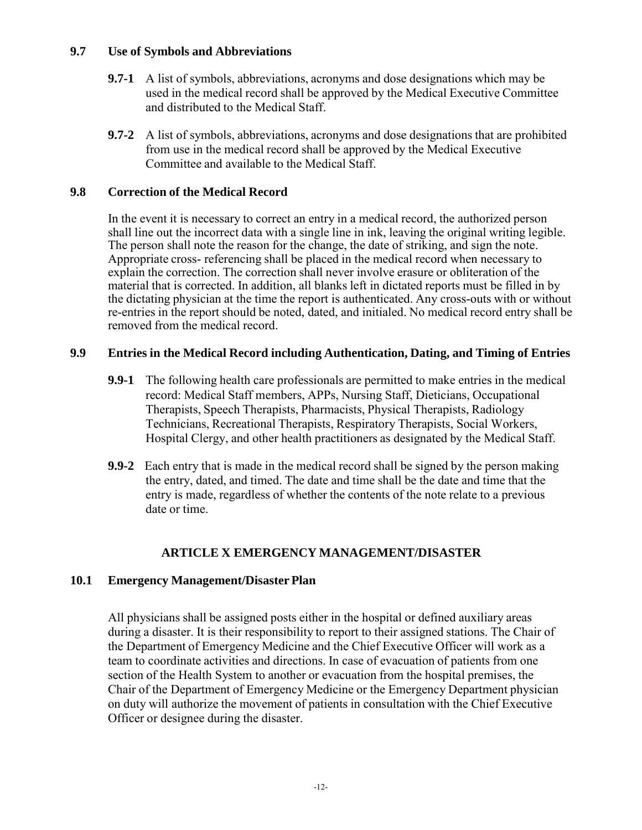#### **9.7 Use of Symbols and Abbreviations**

- **9.7-1** A list of symbols, abbreviations, acronyms and dose designations which may be used in the medical record shall be approved by the Medical Executive Committee and distributed to the Medical Staff.
- **9.7-2** A list of symbols, abbreviations, acronyms and dose designations that are prohibited from use in the medical record shall be approved by the Medical Executive Committee and available to the Medical Staff.

## **9.8 Correction of the Medical Record**

In the event it is necessary to correct an entry in a medical record, the authorized person shall line out the incorrect data with a single line in ink, leaving the original writing legible. The person shall note the reason for the change, the date of striking, and sign the note. Appropriate cross- referencing shall be placed in the medical record when necessary to explain the correction. The correction shall never involve erasure or obliteration of the material that is corrected. In addition, all blanks left in dictated reports must be filled in by the dictating physician at the time the report is authenticated. Any cross-outs with or without re-entries in the report should be noted, dated, and initialed. No medical record entry shall be removed from the medical record.

## **9.9 Entries in the Medical Record including Authentication, Dating, and Timing of Entries**

- **9.9-1** The following health care professionals are permitted to make entries in the medical record: Medical Staff members, APPs, Nursing Staff, Dieticians, Occupational Therapists, Speech Therapists, Pharmacists, Physical Therapists, Radiology Technicians, Recreational Therapists, Respiratory Therapists, Social Workers, Hospital Clergy, and other health practitioners as designated by the Medical Staff.
- **9.9-2** Each entry that is made in the medical record shall be signed by the person making the entry, dated, and timed. The date and time shall be the date and time that the entry is made, regardless of whether the contents of the note relate to a previous date or time.

## **ARTICLE X EMERGENCY MANAGEMENT/DISASTER**

## **10.1 Emergency Management/Disaster Plan**

All physicians shall be assigned posts either in the hospital or defined auxiliary areas during a disaster. It is their responsibility to report to their assigned stations. The Chair of the Department of Emergency Medicine and the Chief Executive Officer will work as a team to coordinate activities and directions. In case of evacuation of patients from one section of the Health System to another or evacuation from the hospital premises, the Chair of the Department of Emergency Medicine or the Emergency Department physician on duty will authorize the movement of patients in consultation with the Chief Executive Officer or designee during the disaster.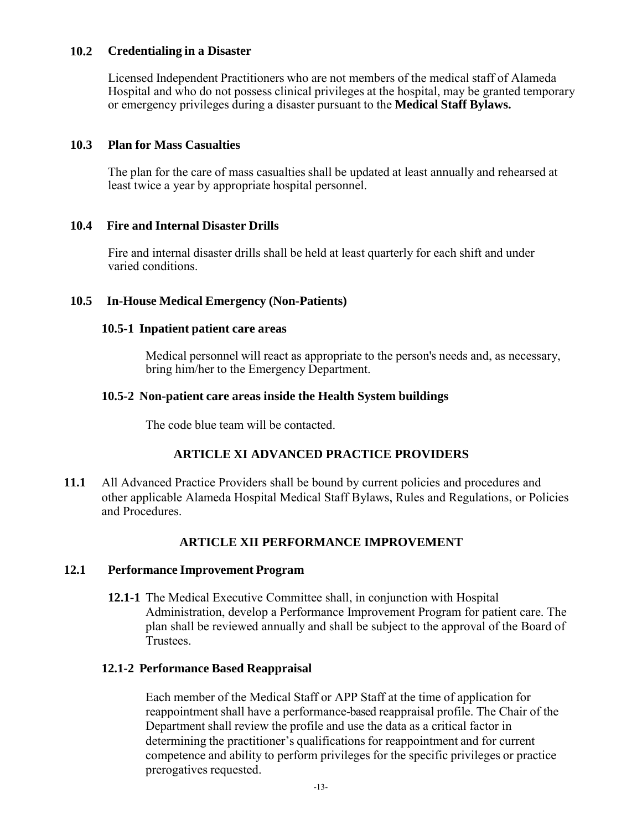#### **10.2 Credentialing in a Disaster**

Licensed Independent Practitioners who are not members of the medical staff of Alameda Hospital and who do not possess clinical privileges at the hospital, may be granted temporary or emergency privileges during a disaster pursuant to the **Medical Staff Bylaws.**

#### **10.3 Plan for Mass Casualties**

The plan for the care of mass casualties shall be updated at least annually and rehearsed at least twice a year by appropriate hospital personnel.

#### **10.4 Fire and Internal Disaster Drills**

Fire and internal disaster drills shall be held at least quarterly for each shift and under varied conditions.

#### **10.5 In-House Medical Emergency (Non-Patients)**

#### **10.5-1 Inpatient patient care areas**

Medical personnel will react as appropriate to the person's needs and, as necessary, bring him/her to the Emergency Department.

#### **10.5-2 Non-patient care areas inside the Health System buildings**

The code blue team will be contacted.

#### **ARTICLE XI ADVANCED PRACTICE PROVIDERS**

**11.1** All Advanced Practice Providers shall be bound by current policies and procedures and other applicable Alameda Hospital Medical Staff Bylaws, Rules and Regulations, or Policies and Procedures.

#### **ARTICLE XII PERFORMANCE IMPROVEMENT**

#### **12.1 Performance Improvement Program**

**12.1-1** The Medical Executive Committee shall, in conjunction with Hospital Administration, develop a Performance Improvement Program for patient care. The plan shall be reviewed annually and shall be subject to the approval of the Board of Trustees.

## **12.1-2 Performance Based Reappraisal**

Each member of the Medical Staff or APP Staff at the time of application for reappointment shall have a performance-based reappraisal profile. The Chair of the Department shall review the profile and use the data as a critical factor in determining the practitioner's qualifications for reappointment and for current competence and ability to perform privileges for the specific privileges or practice prerogatives requested.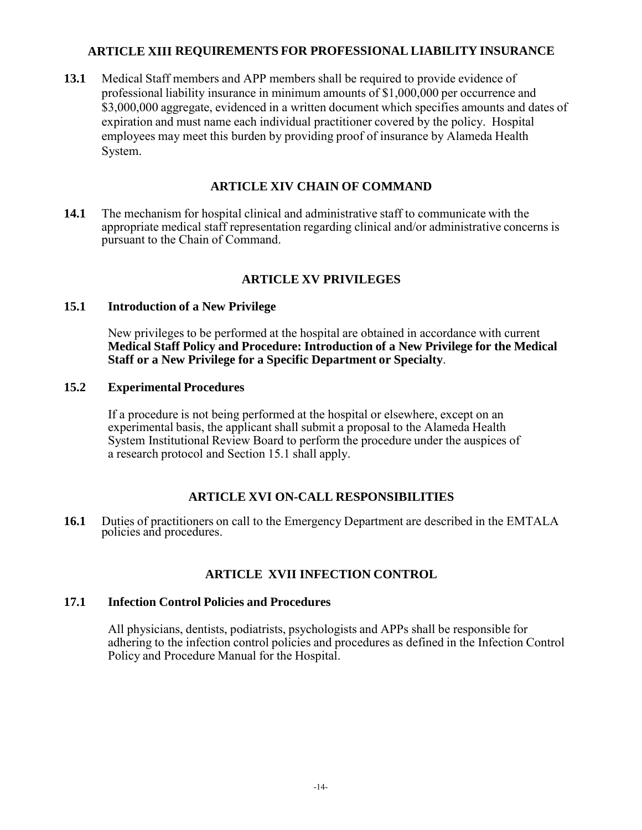## **ARTICLE XIII REQUIREMENTS FOR PROFESSIONAL LIABILITY INSURANCE**

**13.1** Medical Staff members and APP members shall be required to provide evidence of professional liability insurance in minimum amounts of \$1,000,000 per occurrence and \$3,000,000 aggregate, evidenced in a written document which specifies amounts and dates of expiration and must name each individual practitioner covered by the policy. Hospital employees may meet this burden by providing proof of insurance by Alameda Health System.

# **ARTICLE XIV CHAIN OF COMMAND**

**14.1** The mechanism for hospital clinical and administrative staff to communicate with the appropriate medical staff representation regarding clinical and/or administrative concerns is pursuant to the Chain of Command.

# **ARTICLE XV PRIVILEGES**

#### **15.1 Introduction of a New Privilege**

New privileges to be performed at the hospital are obtained in accordance with current **Medical Staff Policy and Procedure: Introduction of a New Privilege for the Medical Staff or a New Privilege for a Specific Department or Specialty**.

## **15.2 Experimental Procedures**

If a procedure is not being performed at the hospital or elsewhere, except on an experimental basis, the applicant shall submit a proposal to the Alameda Health System Institutional Review Board to perform the procedure under the auspices of a research protocol and Section 15.1 shall apply.

#### **ARTICLE XVI ON-CALL RESPONSIBILITIES**

**16.1** Duties of practitioners on call to the Emergency Department are described in the EMTALA policies and procedures.

## **ARTICLE XVII INFECTION CONTROL**

#### **17.1 Infection Control Policies and Procedures**

All physicians, dentists, podiatrists, psychologists and APPs shall be responsible for adhering to the infection control policies and procedures as defined in the Infection Control Policy and Procedure Manual for the Hospital.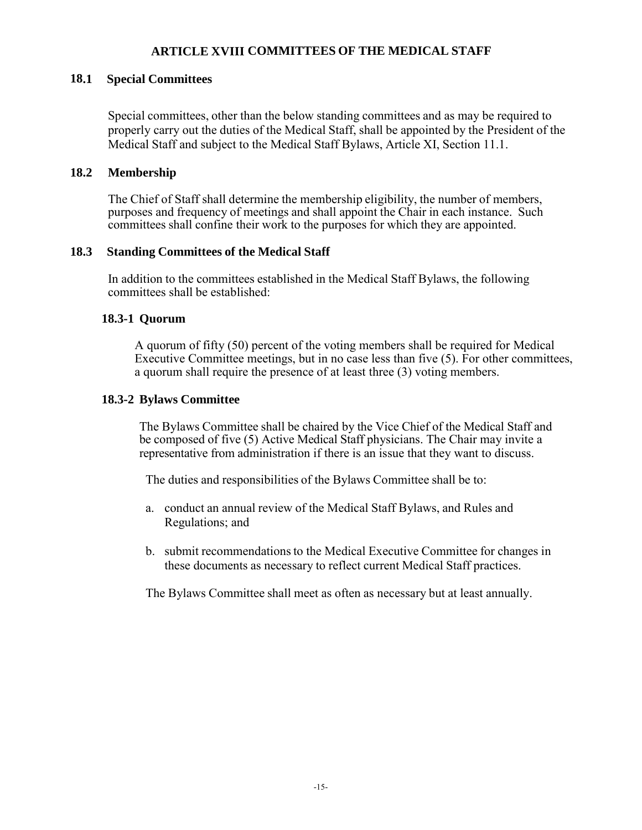#### **ARTICLE XVIII COMMITTEES OF THE MEDICAL STAFF**

#### **18.1 Special Committees**

Special committees, other than the below standing committees and as may be required to properly carry out the duties of the Medical Staff, shall be appointed by the President of the Medical Staff and subject to the Medical Staff Bylaws, Article XI, Section 11.1.

#### **18.2 Membership**

The Chief of Staff shall determine the membership eligibility, the number of members, purposes and frequency of meetings and shall appoint the Chair in each instance. Such committees shall confine their work to the purposes for which they are appointed.

#### **18.3 Standing Committees of the Medical Staff**

In addition to the committees established in the Medical Staff Bylaws, the following committees shall be established:

#### **18.3-1 Quorum**

A quorum of fifty (50) percent of the voting members shall be required for Medical Executive Committee meetings, but in no case less than five (5). For other committees, a quorum shall require the presence of at least three (3) voting members.

#### **18.3-2 Bylaws Committee**

The Bylaws Committee shall be chaired by the Vice Chief of the Medical Staff and be composed of five (5) Active Medical Staff physicians. The Chair may invite a representative from administration if there is an issue that they want to discuss.

The duties and responsibilities of the Bylaws Committee shall be to:

- a. conduct an annual review of the Medical Staff Bylaws, and Rules and Regulations; and
- b. submit recommendations to the Medical Executive Committee for changes in these documents as necessary to reflect current Medical Staff practices.

The Bylaws Committee shall meet as often as necessary but at least annually.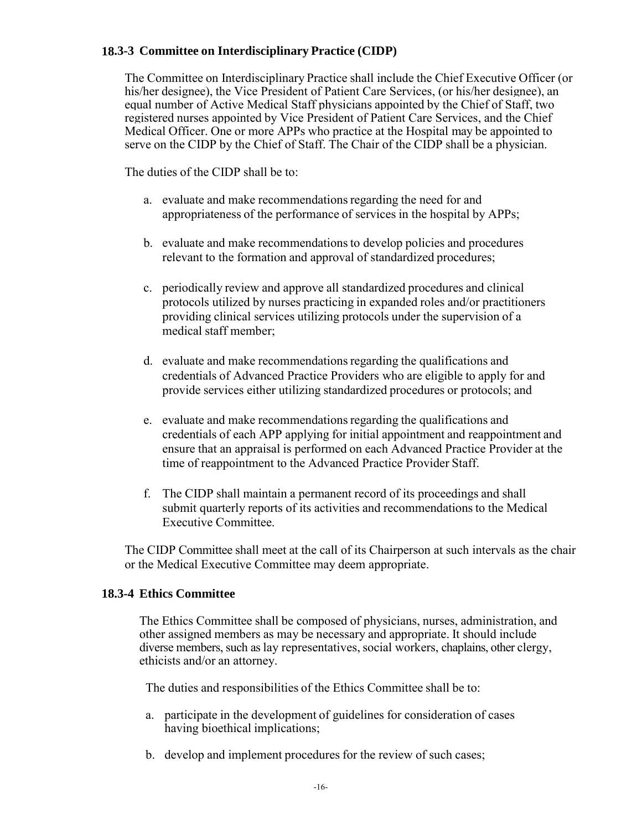## **18.3-3 Committee on Interdisciplinary Practice (CIDP)**

The Committee on Interdisciplinary Practice shall include the Chief Executive Officer (or his/her designee), the Vice President of Patient Care Services, (or his/her designee), an equal number of Active Medical Staff physicians appointed by the Chief of Staff, two registered nurses appointed by Vice President of Patient Care Services, and the Chief Medical Officer. One or more APPs who practice at the Hospital may be appointed to serve on the CIDP by the Chief of Staff. The Chair of the CIDP shall be a physician.

The duties of the CIDP shall be to:

- a. evaluate and make recommendations regarding the need for and appropriateness of the performance of services in the hospital by APPs;
- b. evaluate and make recommendations to develop policies and procedures relevant to the formation and approval of standardized procedures;
- c. periodically review and approve all standardized procedures and clinical protocols utilized by nurses practicing in expanded roles and/or practitioners providing clinical services utilizing protocols under the supervision of a medical staff member;
- d. evaluate and make recommendations regarding the qualifications and credentials of Advanced Practice Providers who are eligible to apply for and provide services either utilizing standardized procedures or protocols; and
- e. evaluate and make recommendations regarding the qualifications and credentials of each APP applying for initial appointment and reappointment and ensure that an appraisal is performed on each Advanced Practice Provider at the time of reappointment to the Advanced Practice Provider Staff.
- f. The CIDP shall maintain a permanent record of its proceedings and shall submit quarterly reports of its activities and recommendations to the Medical Executive Committee.

The CIDP Committee shall meet at the call of its Chairperson at such intervals as the chair or the Medical Executive Committee may deem appropriate.

## **18.3-4 Ethics Committee**

The Ethics Committee shall be composed of physicians, nurses, administration, and other assigned members as may be necessary and appropriate. It should include diverse members, such as lay representatives, social workers, chaplains, other clergy, ethicists and/or an attorney.

The duties and responsibilities of the Ethics Committee shall be to:

- a. participate in the development of guidelines for consideration of cases having bioethical implications;
- b. develop and implement procedures for the review of such cases;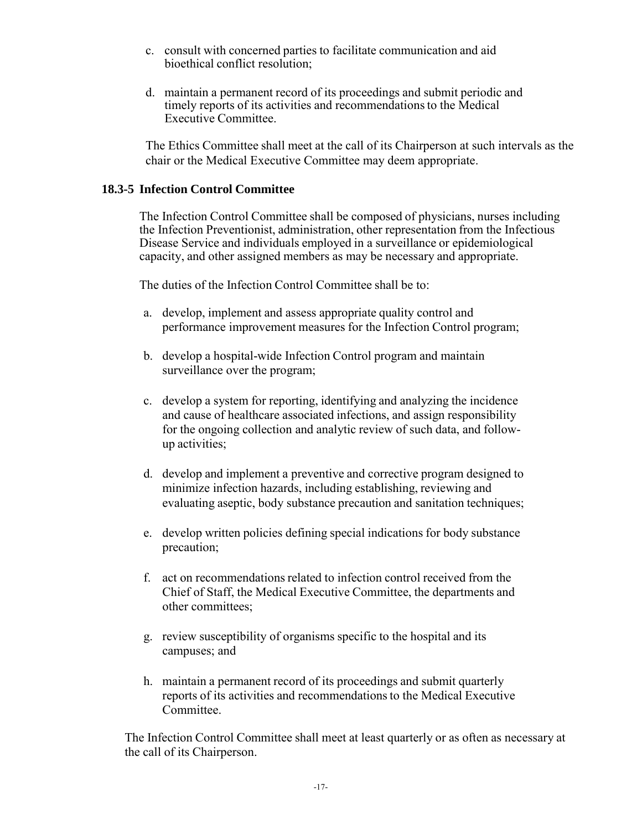- c. consult with concerned parties to facilitate communication and aid bioethical conflict resolution;
- d. maintain a permanent record of its proceedings and submit periodic and timely reports of its activities and recommendations to the Medical Executive Committee.

The Ethics Committee shall meet at the call of its Chairperson at such intervals as the chair or the Medical Executive Committee may deem appropriate.

#### **18.3-5 Infection Control Committee**

The Infection Control Committee shall be composed of physicians, nurses including the Infection Preventionist, administration, other representation from the Infectious Disease Service and individuals employed in a surveillance or epidemiological capacity, and other assigned members as may be necessary and appropriate.

The duties of the Infection Control Committee shall be to:

- a. develop, implement and assess appropriate quality control and performance improvement measures for the Infection Control program;
- b. develop a hospital-wide Infection Control program and maintain surveillance over the program;
- c. develop a system for reporting, identifying and analyzing the incidence and cause of healthcare associated infections, and assign responsibility for the ongoing collection and analytic review of such data, and followup activities;
- d. develop and implement a preventive and corrective program designed to minimize infection hazards, including establishing, reviewing and evaluating aseptic, body substance precaution and sanitation techniques;
- e. develop written policies defining special indications for body substance precaution;
- f. act on recommendations related to infection control received from the Chief of Staff, the Medical Executive Committee, the departments and other committees;
- g. review susceptibility of organisms specific to the hospital and its campuses; and
- h. maintain a permanent record of its proceedings and submit quarterly reports of its activities and recommendations to the Medical Executive Committee.

The Infection Control Committee shall meet at least quarterly or as often as necessary at the call of its Chairperson.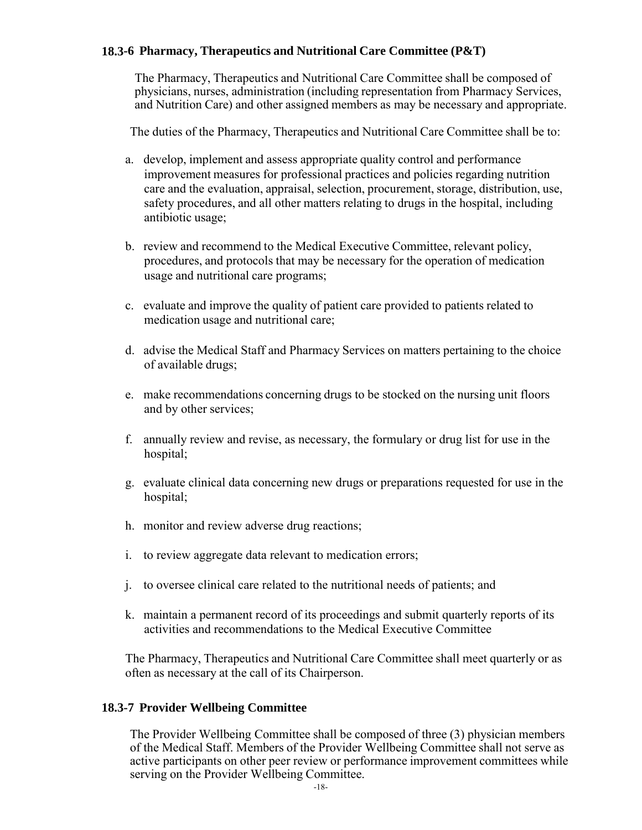## **18.3-6 Pharmacy, Therapeutics and Nutritional Care Committee (P&T)**

The Pharmacy, Therapeutics and Nutritional Care Committee shall be composed of physicians, nurses, administration (including representation from Pharmacy Services, and Nutrition Care) and other assigned members as may be necessary and appropriate.

The duties of the Pharmacy, Therapeutics and Nutritional Care Committee shall be to:

- a. develop, implement and assess appropriate quality control and performance improvement measures for professional practices and policies regarding nutrition care and the evaluation, appraisal, selection, procurement, storage, distribution, use, safety procedures, and all other matters relating to drugs in the hospital, including antibiotic usage;
- b. review and recommend to the Medical Executive Committee, relevant policy, procedures, and protocols that may be necessary for the operation of medication usage and nutritional care programs;
- c. evaluate and improve the quality of patient care provided to patients related to medication usage and nutritional care;
- d. advise the Medical Staff and Pharmacy Services on matters pertaining to the choice of available drugs;
- e. make recommendations concerning drugs to be stocked on the nursing unit floors and by other services;
- f. annually review and revise, as necessary, the formulary or drug list for use in the hospital;
- g. evaluate clinical data concerning new drugs or preparations requested for use in the hospital;
- h. monitor and review adverse drug reactions;
- i. to review aggregate data relevant to medication errors;
- j. to oversee clinical care related to the nutritional needs of patients; and
- k. maintain a permanent record of its proceedings and submit quarterly reports of its activities and recommendations to the Medical Executive Committee

The Pharmacy, Therapeutics and Nutritional Care Committee shall meet quarterly or as often as necessary at the call of its Chairperson.

#### **18.3-7 Provider Wellbeing Committee**

The Provider Wellbeing Committee shall be composed of three (3) physician members of the Medical Staff. Members of the Provider Wellbeing Committee shall not serve as active participants on other peer review or performance improvement committees while serving on the Provider Wellbeing Committee.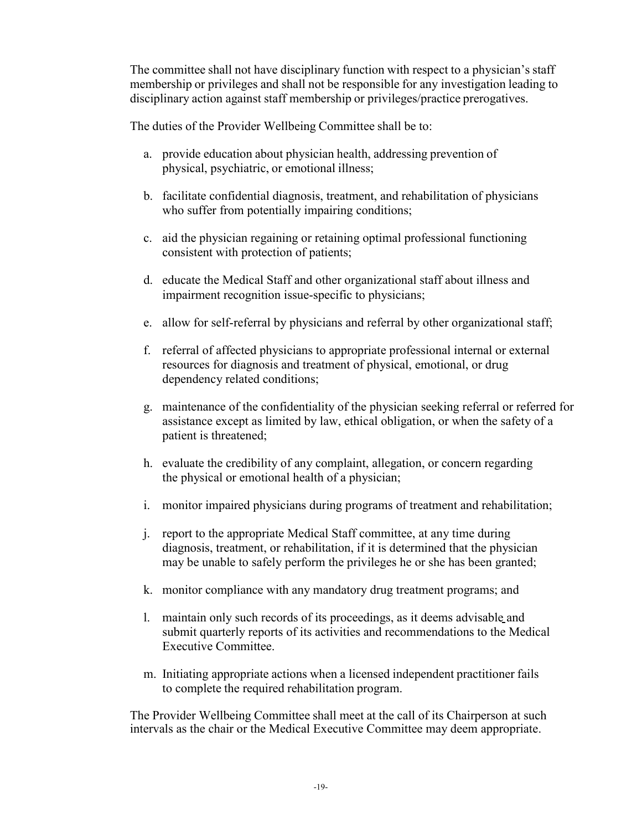The committee shall not have disciplinary function with respect to a physician's staff membership or privileges and shall not be responsible for any investigation leading to disciplinary action against staff membership or privileges/practice prerogatives.

The duties of the Provider Wellbeing Committee shall be to:

- a. provide education about physician health, addressing prevention of physical, psychiatric, or emotional illness;
- b. facilitate confidential diagnosis, treatment, and rehabilitation of physicians who suffer from potentially impairing conditions;
- c. aid the physician regaining or retaining optimal professional functioning consistent with protection of patients;
- d. educate the Medical Staff and other organizational staff about illness and impairment recognition issue-specific to physicians;
- e. allow for self-referral by physicians and referral by other organizational staff;
- f. referral of affected physicians to appropriate professional internal or external resources for diagnosis and treatment of physical, emotional, or drug dependency related conditions;
- g. maintenance of the confidentiality of the physician seeking referral or referred for assistance except as limited by law, ethical obligation, or when the safety of a patient is threatened;
- h. evaluate the credibility of any complaint, allegation, or concern regarding the physical or emotional health of a physician;
- i. monitor impaired physicians during programs of treatment and rehabilitation;
- j. report to the appropriate Medical Staff committee, at any time during diagnosis, treatment, or rehabilitation, if it is determined that the physician may be unable to safely perform the privileges he or she has been granted;
- k. monitor compliance with any mandatory drug treatment programs; and
- l. maintain only such records of its proceedings, as it deems advisable and submit quarterly reports of its activities and recommendations to the Medical Executive Committee.
- m. Initiating appropriate actions when a licensed independent practitioner fails to complete the required rehabilitation program.

The Provider Wellbeing Committee shall meet at the call of its Chairperson at such intervals as the chair or the Medical Executive Committee may deem appropriate.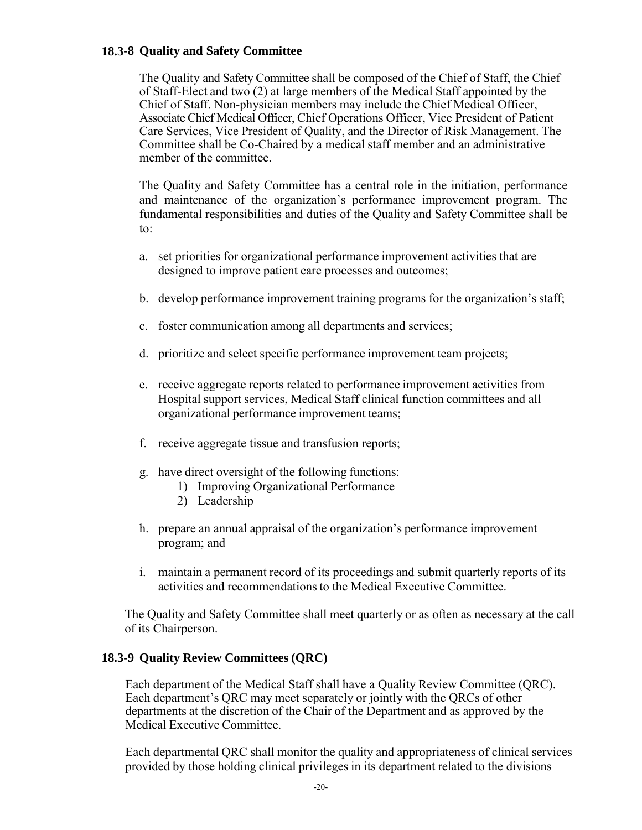#### **18.3-8 Quality and Safety Committee**

The Quality and Safety Committee shall be composed of the Chief of Staff, the Chief of Staff-Elect and two (2) at large members of the Medical Staff appointed by the Chief of Staff. Non-physician members may include the Chief Medical Officer, Associate Chief Medical Officer, Chief Operations Officer, Vice President of Patient Care Services, Vice President of Quality, and the Director of Risk Management. The Committee shall be Co-Chaired by a medical staff member and an administrative member of the committee.

The Quality and Safety Committee has a central role in the initiation, performance and maintenance of the organization's performance improvement program. The fundamental responsibilities and duties of the Quality and Safety Committee shall be to:

- a. set priorities for organizational performance improvement activities that are designed to improve patient care processes and outcomes;
- b. develop performance improvement training programs for the organization's staff;
- c. foster communication among all departments and services;
- d. prioritize and select specific performance improvement team projects;
- e. receive aggregate reports related to performance improvement activities from Hospital support services, Medical Staff clinical function committees and all organizational performance improvement teams;
- f. receive aggregate tissue and transfusion reports;
- g. have direct oversight of the following functions:
	- 1) Improving Organizational Performance
	- 2) Leadership
- h. prepare an annual appraisal of the organization's performance improvement program; and
- i. maintain a permanent record of its proceedings and submit quarterly reports of its activities and recommendations to the Medical Executive Committee.

The Quality and Safety Committee shall meet quarterly or as often as necessary at the call of its Chairperson.

## **18.3-9 Quality Review Committees (QRC)**

Each department of the Medical Staff shall have a Quality Review Committee (QRC). Each department's QRC may meet separately or jointly with the QRCs of other departments at the discretion of the Chair of the Department and as approved by the Medical Executive Committee.

Each departmental QRC shall monitor the quality and appropriateness of clinical services provided by those holding clinical privileges in its department related to the divisions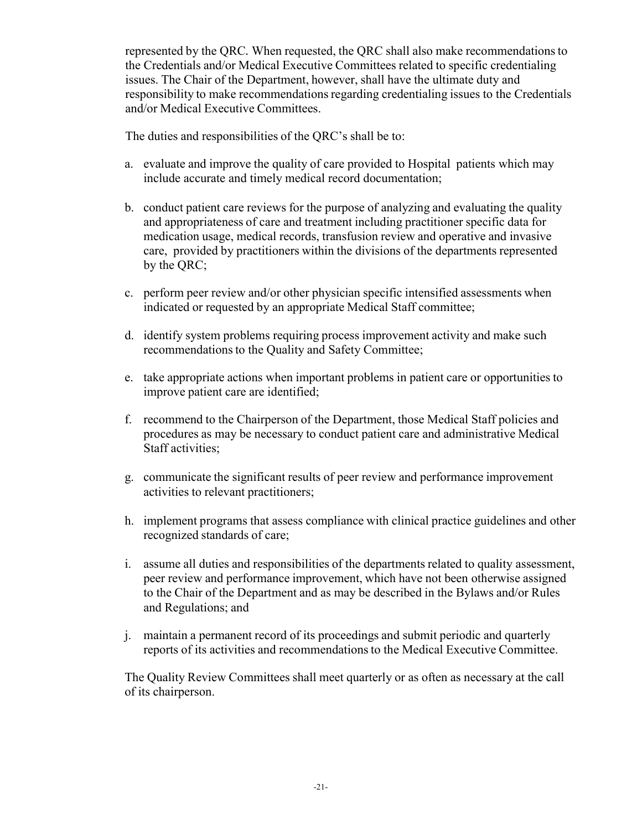represented by the QRC*.* When requested, the QRC shall also make recommendations to the Credentials and/or Medical Executive Committees related to specific credentialing issues. The Chair of the Department, however, shall have the ultimate duty and responsibility to make recommendations regarding credentialing issues to the Credentials and/or Medical Executive Committees.

The duties and responsibilities of the QRC's shall be to:

- a. evaluate and improve the quality of care provided to Hospital patients which may include accurate and timely medical record documentation;
- b. conduct patient care reviews for the purpose of analyzing and evaluating the quality and appropriateness of care and treatment including practitioner specific data for medication usage, medical records, transfusion review and operative and invasive care, provided by practitioners within the divisions of the departments represented by the QRC;
- c. perform peer review and/or other physician specific intensified assessments when indicated or requested by an appropriate Medical Staff committee;
- d. identify system problems requiring process improvement activity and make such recommendations to the Quality and Safety Committee;
- e. take appropriate actions when important problems in patient care or opportunities to improve patient care are identified;
- f. recommend to the Chairperson of the Department, those Medical Staff policies and procedures as may be necessary to conduct patient care and administrative Medical Staff activities;
- g. communicate the significant results of peer review and performance improvement activities to relevant practitioners;
- h. implement programs that assess compliance with clinical practice guidelines and other recognized standards of care;
- i. assume all duties and responsibilities of the departments related to quality assessment, peer review and performance improvement, which have not been otherwise assigned to the Chair of the Department and as may be described in the Bylaws and/or Rules and Regulations; and
- j. maintain a permanent record of its proceedings and submit periodic and quarterly reports of its activities and recommendations to the Medical Executive Committee.

The Quality Review Committees shall meet quarterly or as often as necessary at the call of its chairperson.